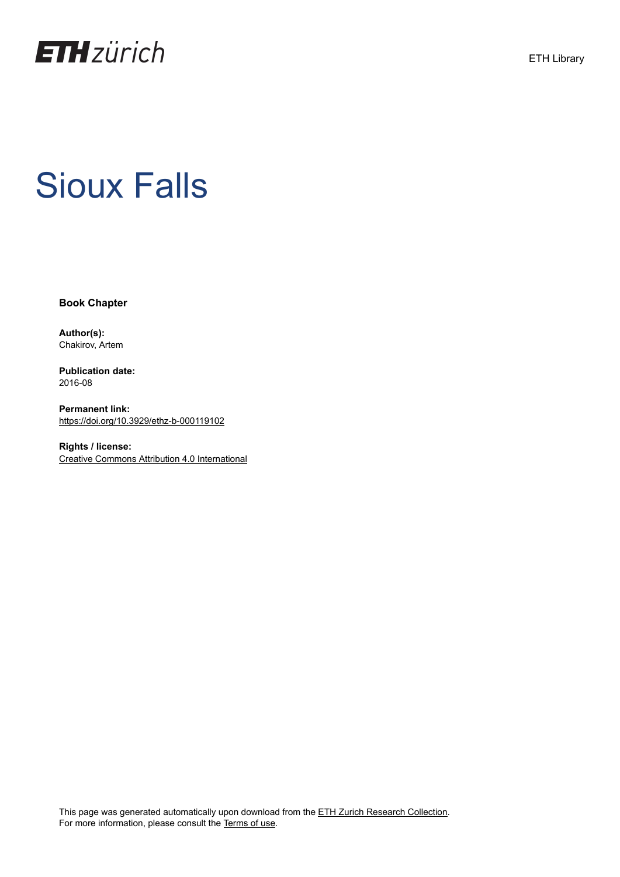

# Sioux Falls

**Book Chapter**

**Author(s):** Chakirov, Artem

**Publication date:** 2016-08

**Permanent link:** <https://doi.org/10.3929/ethz-b-000119102>

**Rights / license:** [Creative Commons Attribution 4.0 International](http://creativecommons.org/licenses/by/4.0/)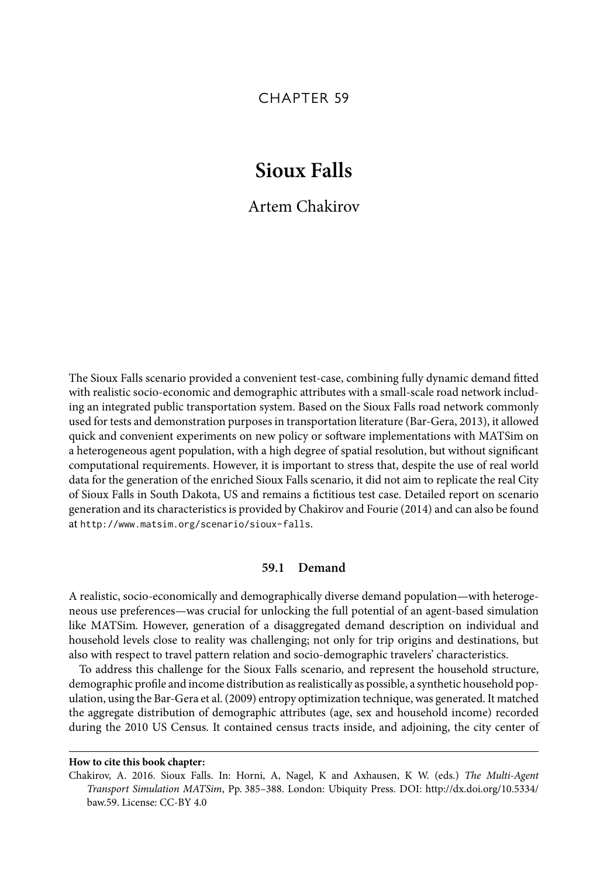## CHAPTER 59

# **Sioux Falls**

## Artem Chakirov

The Sioux Falls scenario provided a convenient test-case, combining fully dynamic demand fitted with realistic socio-economic and demographic attributes with a small-scale road network including an integrated public transportation system. Based on the Sioux Falls road network commonly used for tests and demonstration purposes in transportation literature (Bar-Gera, 2013), it allowed quick and convenient experiments on new policy or software implementations with MATSim on a heterogeneous agent population, with a high degree of spatial resolution, but without significant computational requirements. However, it is important to stress that, despite the use of real world data for the generation of the enriched Sioux Falls scenario, it did not aim to replicate the real City of Sioux Falls in South Dakota, US and remains a fictitious test case. Detailed report on scenario generation and its characteristics is provided by Chakirov and Fourie (2014) and can also be found at http://www.matsim.org/scenario/sioux-falls.

#### **59.1 Demand**

A realistic, socio-economically and demographically diverse demand population—with heterogeneous use preferences—was crucial for unlocking the full potential of an agent-based simulation like MATSim. However, generation of a disaggregated demand description on individual and household levels close to reality was challenging; not only for trip origins and destinations, but also with respect to travel pattern relation and socio-demographic travelers' characteristics.

To address this challenge for the Sioux Falls scenario, and represent the household structure, demographic profile and income distribution as realistically as possible, a synthetic household population, using the Bar-Gera et al. (2009) entropy optimization technique, was generated. It matched the aggregate distribution of demographic attributes (age, sex and household income) recorded during the 2010 US Census. It contained census tracts inside, and adjoining, the city center of

#### **How to cite this book chapter:**

Chakirov, A. 2016. Sioux Falls. In: Horni, A, Nagel, K and Axhausen, K W. (eds.) The Multi-Agent Transport Simulation MATSim, Pp. 385–388. London: Ubiquity Press. DOI: http://dx.doi.org/10.5334/ baw.59. License: CC-BY 4.0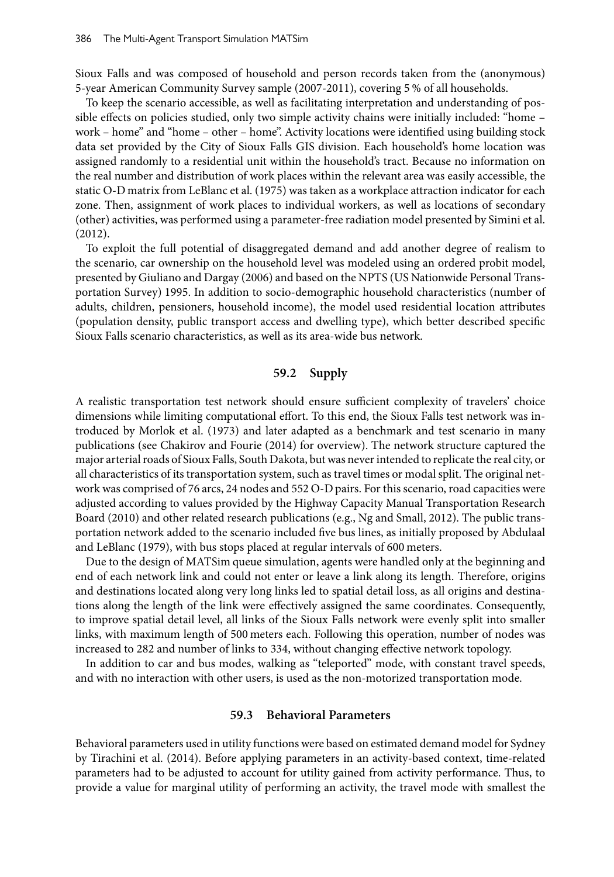Sioux Falls and was composed of household and person records taken from the (anonymous) 5-year American Community Survey sample (2007-2011), covering 5 % of all households.

To keep the scenario accessible, as well as facilitating interpretation and understanding of possible effects on policies studied, only two simple activity chains were initially included: "home – work – home" and "home – other – home". Activity locations were identified using building stock data set provided by the City of Sioux Falls GIS division. Each household's home location was assigned randomly to a residential unit within the household's tract. Because no information on the real number and distribution of work places within the relevant area was easily accessible, the static O-D matrix from LeBlanc et al. (1975) was taken as a workplace attraction indicator for each zone. Then, assignment of work places to individual workers, as well as locations of secondary (other) activities, was performed using a parameter-free radiation model presented by Simini et al. (2012).

To exploit the full potential of disaggregated demand and add another degree of realism to the scenario, car ownership on the household level was modeled using an ordered probit model, presented by Giuliano and Dargay (2006) and based on the NPTS (US Nationwide Personal Transportation Survey) 1995. In addition to socio-demographic household characteristics (number of adults, children, pensioners, household income), the model used residential location attributes (population density, public transport access and dwelling type), which better described specific Sioux Falls scenario characteristics, as well as its area-wide bus network.

#### **59.2 Supply**

A realistic transportation test network should ensure sufficient complexity of travelers' choice dimensions while limiting computational effort. To this end, the Sioux Falls test network was introduced by Morlok et al. (1973) and later adapted as a benchmark and test scenario in many publications (see Chakirov and Fourie (2014) for overview). The network structure captured the major arterial roads of Sioux Falls, South Dakota, but was never intended to replicate the real city, or all characteristics of its transportation system, such as travel times or modal split. The original network was comprised of 76 arcs, 24 nodes and 552 O-D pairs. For this scenario, road capacities were adjusted according to values provided by the Highway Capacity Manual Transportation Research Board (2010) and other related research publications (e.g., Ng and Small, 2012). The public transportation network added to the scenario included five bus lines, as initially proposed by Abdulaal and LeBlanc (1979), with bus stops placed at regular intervals of 600 meters.

Due to the design of MATSim queue simulation, agents were handled only at the beginning and end of each network link and could not enter or leave a link along its length. Therefore, origins and destinations located along very long links led to spatial detail loss, as all origins and destinations along the length of the link were effectively assigned the same coordinates. Consequently, to improve spatial detail level, all links of the Sioux Falls network were evenly split into smaller links, with maximum length of 500 meters each. Following this operation, number of nodes was increased to 282 and number of links to 334, without changing effective network topology.

In addition to car and bus modes, walking as "teleported" mode, with constant travel speeds, and with no interaction with other users, is used as the non-motorized transportation mode.

#### **59.3 Behavioral Parameters**

Behavioral parameters used in utility functions were based on estimated demand model for Sydney by Tirachini et al. (2014). Before applying parameters in an activity-based context, time-related parameters had to be adjusted to account for utility gained from activity performance. Thus, to provide a value for marginal utility of performing an activity, the travel mode with smallest the